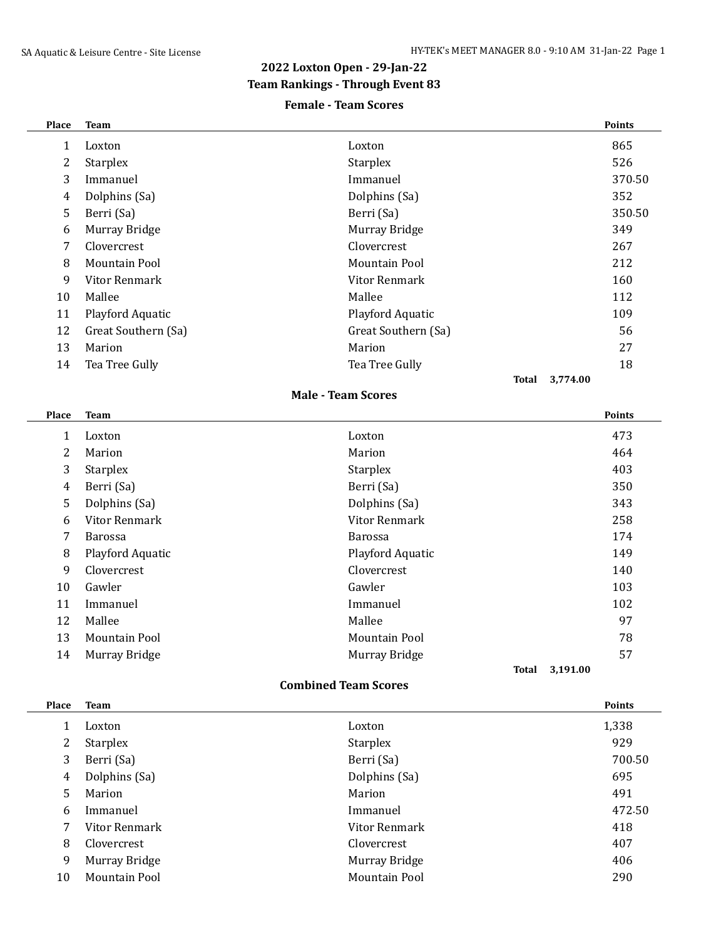# **2022 Loxton Open - 29-Jan-22**

## **Team Rankings - Through Event 83**

### **Female - Team Scores**

| Place          | <b>Team</b>          |                           | Points        |
|----------------|----------------------|---------------------------|---------------|
| $\mathbf{1}$   | Loxton               | Loxton                    | 865           |
| $\overline{c}$ | Starplex             | Starplex                  | 526           |
| 3              | Immanuel             | Immanuel                  | 370.50        |
| 4              | Dolphins (Sa)        | Dolphins (Sa)             | 352           |
| 5              | Berri (Sa)           | Berri (Sa)                | 350.50        |
| 6              | Murray Bridge        | Murray Bridge             | 349           |
| 7              | Clovercrest          | Clovercrest               | 267           |
| 8              | <b>Mountain Pool</b> | <b>Mountain Pool</b>      | 212           |
| 9              | <b>Vitor Renmark</b> | Vitor Renmark             | 160           |
| 10             | Mallee               | Mallee                    | 112           |
| 11             | Playford Aquatic     | Playford Aquatic          | 109           |
| 12             | Great Southern (Sa)  | Great Southern (Sa)       | 56            |
| 13             | Marion               | Marion                    | 27            |
| 14             | Tea Tree Gully       | Tea Tree Gully            | 18            |
|                |                      | 3,774.00<br><b>Total</b>  |               |
|                |                      | <b>Male - Team Scores</b> |               |
| Place          | <b>Team</b>          |                           | <b>Points</b> |
| $\mathbf{1}$   | Loxton               | Loxton                    | 473           |
| 2              | Marion               | Marion                    | 464           |
| 3              | Starplex             |                           | 403           |
| 4              |                      | <b>Starplex</b>           |               |
| 5              | Berri (Sa)           | Berri (Sa)                | 350           |
|                | Dolphins (Sa)        | Dolphins (Sa)             | 343           |
| 6              | Vitor Renmark        | <b>Vitor Renmark</b>      | 258           |
| 7              | Barossa              | Barossa                   | 174           |
| 8              | Playford Aquatic     | Playford Aquatic          | 149           |
| 9              | Clovercrest          | Clovercrest               | 140           |
| 10             | Gawler               | Gawler                    | 103           |
| 11             | Immanuel             | Immanuel                  | 102           |
| 12             | Mallee               | Mallee                    | 97            |
| 13             | <b>Mountain Pool</b> | <b>Mountain Pool</b>      | 78            |
| 14             | Murray Bridge        | Murray Bridge<br>3,191.00 | 57            |

#### **Combined Team Scores**

| <b>Place</b> | <b>Team</b>     |                 | <b>Points</b> |
|--------------|-----------------|-----------------|---------------|
|              | Loxton          | Loxton          | 1,338         |
| 2            | <b>Starplex</b> | <b>Starplex</b> | 929           |
| 3            | Berri (Sa)      | Berri (Sa)      | 700.50        |
| 4            | Dolphins (Sa)   | Dolphins (Sa)   | 695           |
| 5            | Marion          | Marion          | 491           |
| 6            | Immanuel        | Immanuel        | 472.50        |
|              | Vitor Renmark   | Vitor Renmark   | 418           |
| 8            | Clovercrest     | Clovercrest     | 407           |
| 9            | Murray Bridge   | Murray Bridge   | 406           |
| 10           | Mountain Pool   | Mountain Pool   | 290           |